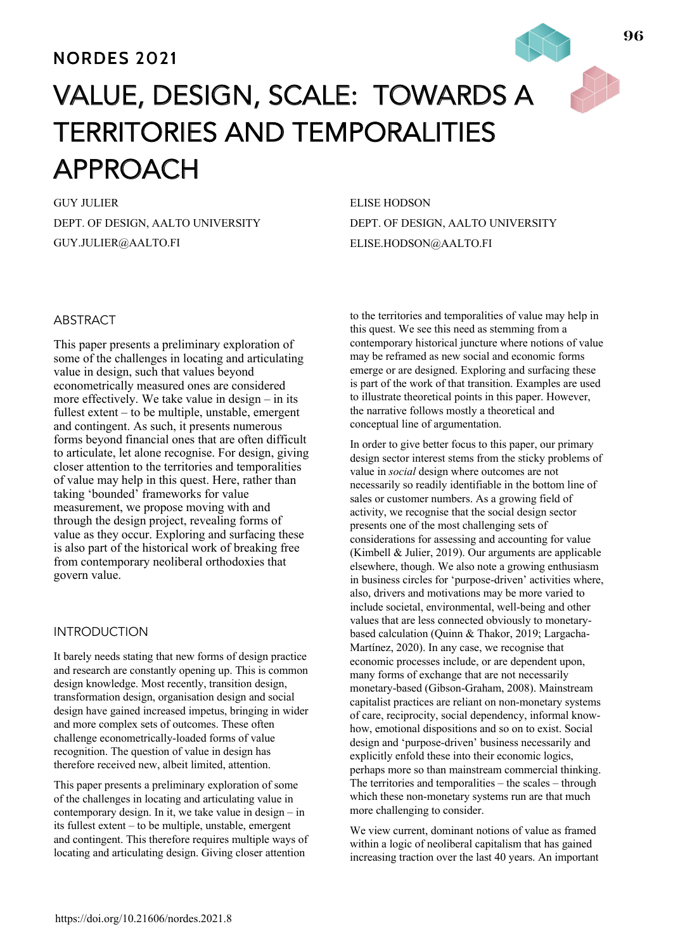# **NORDES 2021**

# VALUE, DESIGN, SCALE: TOWARDS A TERRITORIES AND TEMPORALITIES APPROACH

GUY JULIER DEPT. OF DESIGN, AALTO UNIVERSITY GUY.JULIER@AALTO.FI

ELISE HODSON DEPT. OF DESIGN, AALTO UNIVERSITY ELISE.HODSON@AALTO.FI

# ABSTRACT

This paper presents a preliminary exploration of some of the challenges in locating and articulating value in design, such that values beyond econometrically measured ones are considered more effectively. We take value in design – in its fullest extent – to be multiple, unstable, emergent and contingent. As such, it presents numerous forms beyond financial ones that are often difficult to articulate, let alone recognise. For design, giving closer attention to the territories and temporalities of value may help in this quest. Here, rather than taking 'bounded' frameworks for value measurement, we propose moving with and through the design project, revealing forms of value as they occur. Exploring and surfacing these is also part of the historical work of breaking free from contemporary neoliberal orthodoxies that govern value.

## INTRODUCTION

It barely needs stating that new forms of design practice and research are constantly opening up. This is common design knowledge. Most recently, transition design, transformation design, organisation design and social design have gained increased impetus, bringing in wider and more complex sets of outcomes. These often challenge econometrically-loaded forms of value recognition. The question of value in design has therefore received new, albeit limited, attention.

This paper presents a preliminary exploration of some of the challenges in locating and articulating value in contemporary design. In it, we take value in design – in its fullest extent – to be multiple, unstable, emergent and contingent. This therefore requires multiple ways of locating and articulating design. Giving closer attention

to the territories and temporalities of value may help in this quest. We see this need as stemming from a contemporary historical juncture where notions of value may be reframed as new social and economic forms emerge or are designed. Exploring and surfacing these is part of the work of that transition. Examples are used to illustrate theoretical points in this paper. However, the narrative follows mostly a theoretical and conceptual line of argumentation.

In order to give better focus to this paper, our primary design sector interest stems from the sticky problems of value in *social* design where outcomes are not necessarily so readily identifiable in the bottom line of sales or customer numbers. As a growing field of activity, we recognise that the social design sector presents one of the most challenging sets of considerations for assessing and accounting for value (Kimbell & Julier, 2019). Our arguments are applicable elsewhere, though. We also note a growing enthusiasm in business circles for 'purpose-driven' activities where, also, drivers and motivations may be more varied to include societal, environmental, well-being and other values that are less connected obviously to monetarybased calculation (Quinn & Thakor, 2019; Largacha-Martínez, 2020). In any case, we recognise that economic processes include, or are dependent upon, many forms of exchange that are not necessarily monetary-based (Gibson-Graham, 2008). Mainstream capitalist practices are reliant on non-monetary systems of care, reciprocity, social dependency, informal knowhow, emotional dispositions and so on to exist. Social design and 'purpose-driven' business necessarily and explicitly enfold these into their economic logics, perhaps more so than mainstream commercial thinking. The territories and temporalities – the scales – through which these non-monetary systems run are that much more challenging to consider.

We view current, dominant notions of value as framed within a logic of neoliberal capitalism that has gained increasing traction over the last 40 years. An important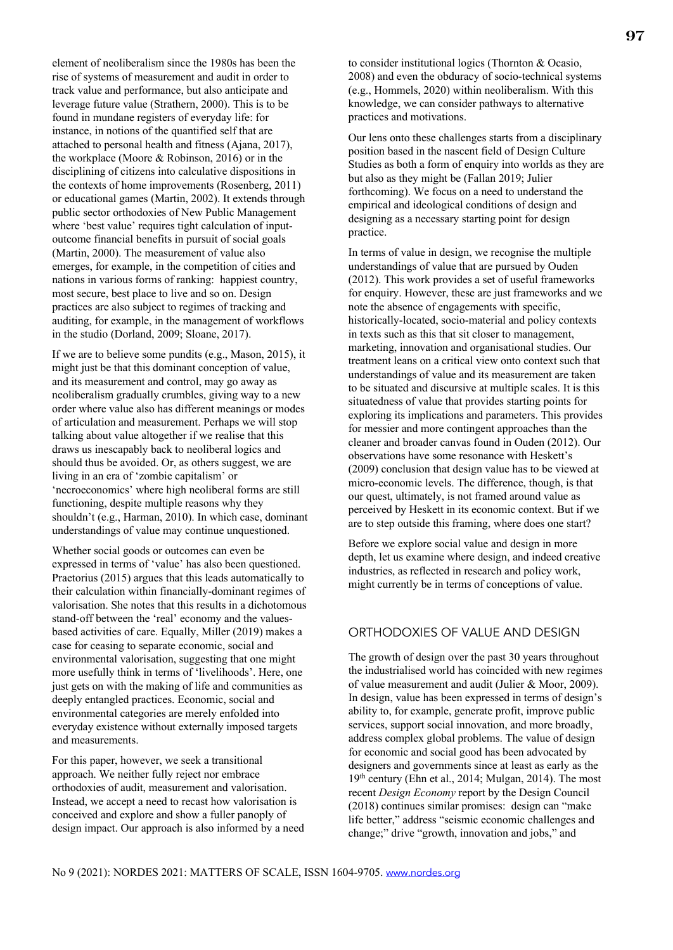element of neoliberalism since the 1980s has been the rise of systems of measurement and audit in order to track value and performance, but also anticipate and leverage future value (Strathern, 2000). This is to be found in mundane registers of everyday life: for instance, in notions of the quantified self that are attached to personal health and fitness (Ajana, 2017), the workplace (Moore & Robinson, 2016) or in the disciplining of citizens into calculative dispositions in the contexts of home improvements (Rosenberg, 2011) or educational games (Martin, 2002). It extends through public sector orthodoxies of New Public Management where 'best value' requires tight calculation of inputoutcome financial benefits in pursuit of social goals (Martin, 2000). The measurement of value also emerges, for example, in the competition of cities and nations in various forms of ranking: happiest country, most secure, best place to live and so on. Design practices are also subject to regimes of tracking and auditing, for example, in the management of workflows in the studio (Dorland, 2009; Sloane, 2017).

If we are to believe some pundits (e.g., Mason, 2015), it might just be that this dominant conception of value, and its measurement and control, may go away as neoliberalism gradually crumbles, giving way to a new order where value also has different meanings or modes of articulation and measurement. Perhaps we will stop talking about value altogether if we realise that this draws us inescapably back to neoliberal logics and should thus be avoided. Or, as others suggest, we are living in an era of 'zombie capitalism' or 'necroeconomics' where high neoliberal forms are still functioning, despite multiple reasons why they shouldn't (e.g., Harman, 2010). In which case, dominant understandings of value may continue unquestioned.

Whether social goods or outcomes can even be expressed in terms of 'value' has also been questioned. Praetorius (2015) argues that this leads automatically to their calculation within financially-dominant regimes of valorisation. She notes that this results in a dichotomous stand-off between the 'real' economy and the valuesbased activities of care. Equally, Miller (2019) makes a case for ceasing to separate economic, social and environmental valorisation, suggesting that one might more usefully think in terms of 'livelihoods'. Here, one just gets on with the making of life and communities as deeply entangled practices. Economic, social and environmental categories are merely enfolded into everyday existence without externally imposed targets and measurements.

For this paper, however, we seek a transitional approach. We neither fully reject nor embrace orthodoxies of audit, measurement and valorisation. Instead, we accept a need to recast how valorisation is conceived and explore and show a fuller panoply of design impact. Our approach is also informed by a need to consider institutional logics (Thornton & Ocasio, 2008) and even the obduracy of socio-technical systems (e.g., Hommels, 2020) within neoliberalism. With this knowledge, we can consider pathways to alternative practices and motivations.

Our lens onto these challenges starts from a disciplinary position based in the nascent field of Design Culture Studies as both a form of enquiry into worlds as they are but also as they might be (Fallan 2019; Julier forthcoming). We focus on a need to understand the empirical and ideological conditions of design and designing as a necessary starting point for design practice.

In terms of value in design, we recognise the multiple understandings of value that are pursued by Ouden (2012). This work provides a set of useful frameworks for enquiry. However, these are just frameworks and we note the absence of engagements with specific, historically-located, socio-material and policy contexts in texts such as this that sit closer to management, marketing, innovation and organisational studies. Our treatment leans on a critical view onto context such that understandings of value and its measurement are taken to be situated and discursive at multiple scales. It is this situatedness of value that provides starting points for exploring its implications and parameters. This provides for messier and more contingent approaches than the cleaner and broader canvas found in Ouden (2012). Our observations have some resonance with Heskett's (2009) conclusion that design value has to be viewed at micro-economic levels. The difference, though, is that our quest, ultimately, is not framed around value as perceived by Heskett in its economic context. But if we are to step outside this framing, where does one start?

Before we explore social value and design in more depth, let us examine where design, and indeed creative industries, as reflected in research and policy work, might currently be in terms of conceptions of value.

# ORTHODOXIES OF VALUE AND DESIGN

The growth of design over the past 30 years throughout the industrialised world has coincided with new regimes of value measurement and audit (Julier & Moor, 2009). In design, value has been expressed in terms of design's ability to, for example, generate profit, improve public services, support social innovation, and more broadly, address complex global problems. The value of design for economic and social good has been advocated by designers and governments since at least as early as the 19th century (Ehn et al., 2014; Mulgan, 2014). The most recent *Design Economy* report by the Design Council (2018) continues similar promises: design can "make life better," address "seismic economic challenges and change;" drive "growth, innovation and jobs," and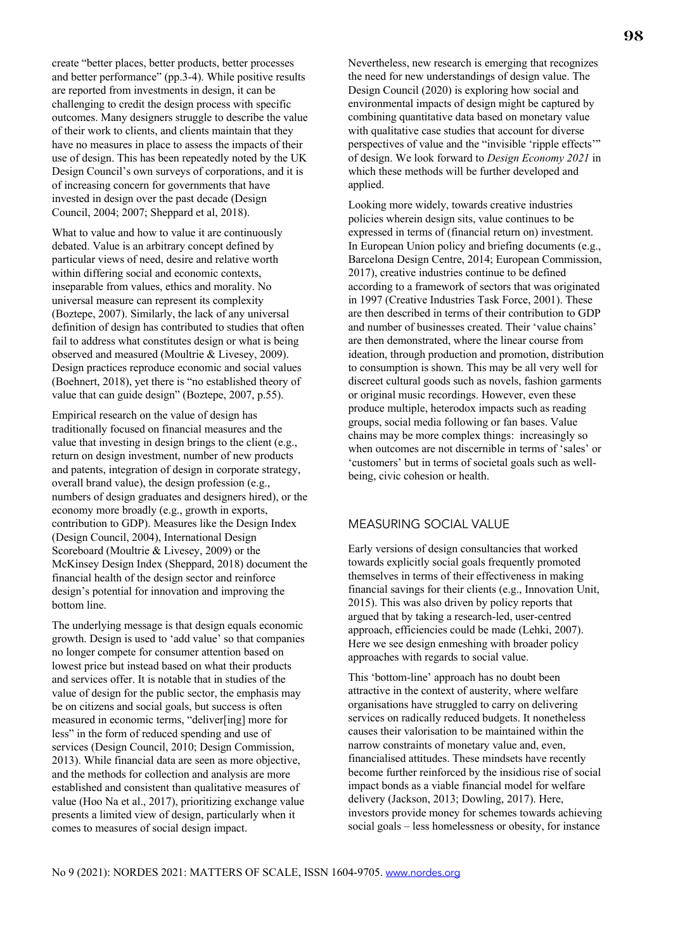create "better places, better products, better processes and better performance" (pp.3-4). While positive results are reported from investments in design, it can be challenging to credit the design process with specific outcomes. Many designers struggle to describe the value of their work to clients, and clients maintain that they have no measures in place to assess the impacts of their use of design. This has been repeatedly noted by the UK Design Council's own surveys of corporations, and it is of increasing concern for governments that have invested in design over the past decade (Design Council, 2004; 2007; Sheppard et al, 2018).

What to value and how to value it are continuously debated. Value is an arbitrary concept defined by particular views of need, desire and relative worth within differing social and economic contexts, inseparable from values, ethics and morality. No universal measure can represent its complexity (Boztepe, 2007). Similarly, the lack of any universal definition of design has contributed to studies that often fail to address what constitutes design or what is being observed and measured (Moultrie & Livesey, 2009). Design practices reproduce economic and social values (Boehnert, 2018), yet there is "no established theory of value that can guide design" (Boztepe, 2007, p.55).

Empirical research on the value of design has traditionally focused on financial measures and the value that investing in design brings to the client (e.g., return on design investment, number of new products and patents, integration of design in corporate strategy, overall brand value), the design profession (e.g., numbers of design graduates and designers hired), or the economy more broadly (e.g., growth in exports, contribution to GDP). Measures like the Design Index (Design Council, 2004), International Design Scoreboard (Moultrie & Livesey, 2009) or the McKinsey Design Index (Sheppard, 2018) document the financial health of the design sector and reinforce design's potential for innovation and improving the bottom line.

The underlying message is that design equals economic growth. Design is used to 'add value' so that companies no longer compete for consumer attention based on lowest price but instead based on what their products and services offer. It is notable that in studies of the value of design for the public sector, the emphasis may be on citizens and social goals, but success is often measured in economic terms, "deliver[ing] more for less" in the form of reduced spending and use of services (Design Council, 2010; Design Commission, 2013). While financial data are seen as more objective, and the methods for collection and analysis are more established and consistent than qualitative measures of value (Hoo Na et al., 2017), prioritizing exchange value presents a limited view of design, particularly when it comes to measures of social design impact.

Nevertheless, new research is emerging that recognizes the need for new understandings of design value. The Design Council (2020) is exploring how social and environmental impacts of design might be captured by combining quantitative data based on monetary value with qualitative case studies that account for diverse perspectives of value and the "invisible 'ripple effects'" of design. We look forward to *Design Economy 2021* in which these methods will be further developed and applied.

Looking more widely, towards creative industries policies wherein design sits, value continues to be expressed in terms of (financial return on) investment. In European Union policy and briefing documents (e.g., Barcelona Design Centre, 2014; European Commission, 2017), creative industries continue to be defined according to a framework of sectors that was originated in 1997 (Creative Industries Task Force, 2001). These are then described in terms of their contribution to GDP and number of businesses created. Their 'value chains' are then demonstrated, where the linear course from ideation, through production and promotion, distribution to consumption is shown. This may be all very well for discreet cultural goods such as novels, fashion garments or original music recordings. However, even these produce multiple, heterodox impacts such as reading groups, social media following or fan bases. Value chains may be more complex things: increasingly so when outcomes are not discernible in terms of 'sales' or 'customers' but in terms of societal goals such as wellbeing, civic cohesion or health.

#### MEASURING SOCIAL VALUE

Early versions of design consultancies that worked towards explicitly social goals frequently promoted themselves in terms of their effectiveness in making financial savings for their clients (e.g., Innovation Unit, 2015). This was also driven by policy reports that argued that by taking a research-led, user-centred approach, efficiencies could be made (Lehki, 2007). Here we see design enmeshing with broader policy approaches with regards to social value.

This 'bottom-line' approach has no doubt been attractive in the context of austerity, where welfare organisations have struggled to carry on delivering services on radically reduced budgets. It nonetheless causes their valorisation to be maintained within the narrow constraints of monetary value and, even, financialised attitudes. These mindsets have recently become further reinforced by the insidious rise of social impact bonds as a viable financial model for welfare delivery (Jackson, 2013; Dowling, 2017). Here, investors provide money for schemes towards achieving social goals – less homelessness or obesity, for instance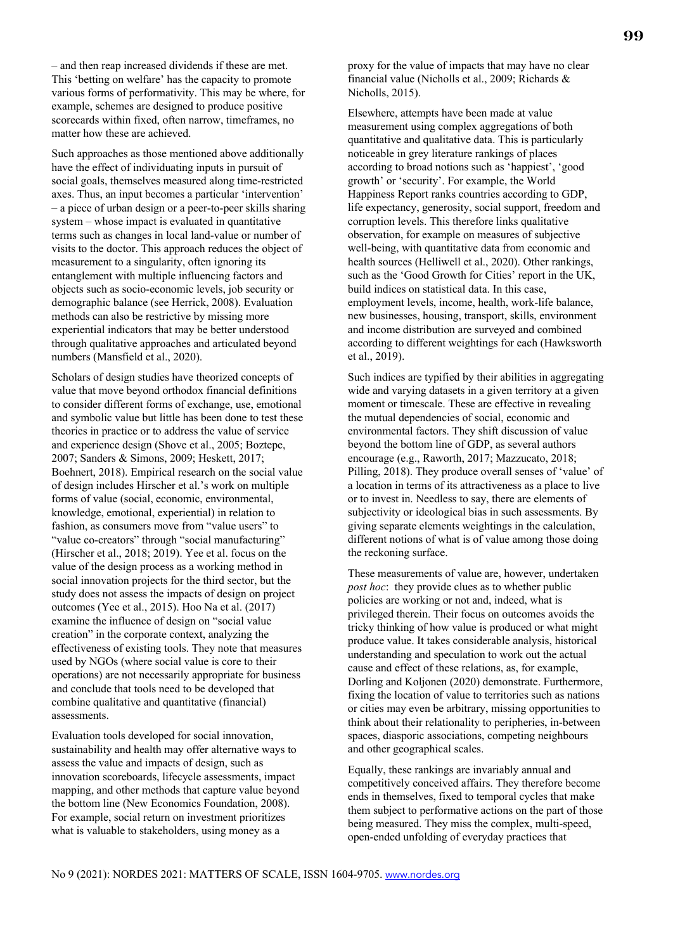– and then reap increased dividends if these are met. This 'betting on welfare' has the capacity to promote various forms of performativity. This may be where, for example, schemes are designed to produce positive scorecards within fixed, often narrow, timeframes, no matter how these are achieved.

Such approaches as those mentioned above additionally have the effect of individuating inputs in pursuit of social goals, themselves measured along time-restricted axes. Thus, an input becomes a particular 'intervention' – a piece of urban design or a peer-to-peer skills sharing system – whose impact is evaluated in quantitative terms such as changes in local land-value or number of visits to the doctor. This approach reduces the object of measurement to a singularity, often ignoring its entanglement with multiple influencing factors and objects such as socio-economic levels, job security or demographic balance (see Herrick, 2008). Evaluation methods can also be restrictive by missing more experiential indicators that may be better understood through qualitative approaches and articulated beyond numbers (Mansfield et al., 2020).

Scholars of design studies have theorized concepts of value that move beyond orthodox financial definitions to consider different forms of exchange, use, emotional and symbolic value but little has been done to test these theories in practice or to address the value of service and experience design (Shove et al., 2005; Boztepe, 2007; Sanders & Simons, 2009; Heskett, 2017; Boehnert, 2018). Empirical research on the social value of design includes Hirscher et al.'s work on multiple forms of value (social, economic, environmental, knowledge, emotional, experiential) in relation to fashion, as consumers move from "value users" to "value co-creators" through "social manufacturing" (Hirscher et al., 2018; 2019). Yee et al. focus on the value of the design process as a working method in social innovation projects for the third sector, but the study does not assess the impacts of design on project outcomes (Yee et al., 2015). Hoo Na et al. (2017) examine the influence of design on "social value creation" in the corporate context, analyzing the effectiveness of existing tools. They note that measures used by NGOs (where social value is core to their operations) are not necessarily appropriate for business and conclude that tools need to be developed that combine qualitative and quantitative (financial) assessments.

Evaluation tools developed for social innovation, sustainability and health may offer alternative ways to assess the value and impacts of design, such as innovation scoreboards, lifecycle assessments, impact mapping, and other methods that capture value beyond the bottom line (New Economics Foundation, 2008). For example, social return on investment prioritizes what is valuable to stakeholders, using money as a

financial value (Nicholls et al., 2009; Richards & Nicholls, 2015).

proxy for the value of impacts that may have no clear

Elsewhere, attempts have been made at value measurement using complex aggregations of both quantitative and qualitative data. This is particularly noticeable in grey literature rankings of places according to broad notions such as 'happiest', 'good growth' or 'security'. For example, the World Happiness Report ranks countries according to GDP, life expectancy, generosity, social support, freedom and corruption levels. This therefore links qualitative observation, for example on measures of subjective well-being, with quantitative data from economic and health sources (Helliwell et al., 2020). Other rankings, such as the 'Good Growth for Cities' report in the UK, build indices on statistical data. In this case, employment levels, income, health, work-life balance, new businesses, housing, transport, skills, environment and income distribution are surveyed and combined according to different weightings for each (Hawksworth et al., 2019).

Such indices are typified by their abilities in aggregating wide and varying datasets in a given territory at a given moment or timescale. These are effective in revealing the mutual dependencies of social, economic and environmental factors. They shift discussion of value beyond the bottom line of GDP, as several authors encourage (e.g., Raworth, 2017; Mazzucato, 2018; Pilling, 2018). They produce overall senses of 'value' of a location in terms of its attractiveness as a place to live or to invest in. Needless to say, there are elements of subjectivity or ideological bias in such assessments. By giving separate elements weightings in the calculation, different notions of what is of value among those doing the reckoning surface.

These measurements of value are, however, undertaken *post hoc*: they provide clues as to whether public policies are working or not and, indeed, what is privileged therein. Their focus on outcomes avoids the tricky thinking of how value is produced or what might produce value. It takes considerable analysis, historical understanding and speculation to work out the actual cause and effect of these relations, as, for example, Dorling and Koljonen (2020) demonstrate. Furthermore, fixing the location of value to territories such as nations or cities may even be arbitrary, missing opportunities to think about their relationality to peripheries, in-between spaces, diasporic associations, competing neighbours and other geographical scales.

Equally, these rankings are invariably annual and competitively conceived affairs. They therefore become ends in themselves, fixed to temporal cycles that make them subject to performative actions on the part of those being measured. They miss the complex, multi-speed, open-ended unfolding of everyday practices that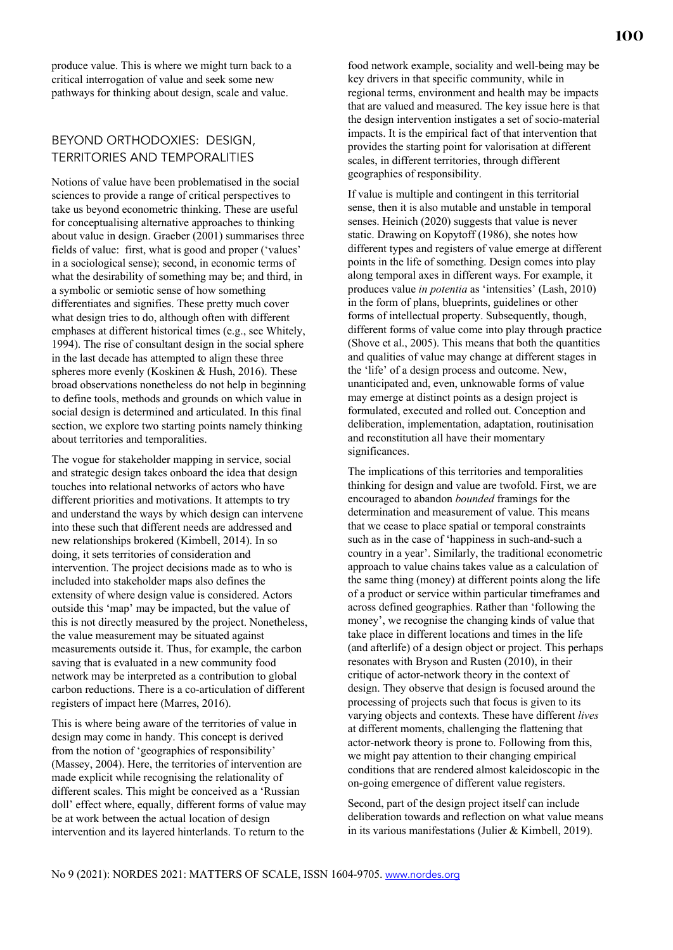produce value. This is where we might turn back to a critical interrogation of value and seek some new pathways for thinking about design, scale and value.

# BEYOND ORTHODOXIES: DESIGN, TERRITORIES AND TEMPORALITIES

Notions of value have been problematised in the social sciences to provide a range of critical perspectives to take us beyond econometric thinking. These are useful for conceptualising alternative approaches to thinking about value in design. Graeber (2001) summarises three fields of value: first, what is good and proper ('values' in a sociological sense); second, in economic terms of what the desirability of something may be; and third, in a symbolic or semiotic sense of how something differentiates and signifies. These pretty much cover what design tries to do, although often with different emphases at different historical times (e.g., see Whitely, 1994). The rise of consultant design in the social sphere in the last decade has attempted to align these three spheres more evenly (Koskinen & Hush, 2016). These broad observations nonetheless do not help in beginning to define tools, methods and grounds on which value in social design is determined and articulated. In this final section, we explore two starting points namely thinking about territories and temporalities.

The vogue for stakeholder mapping in service, social and strategic design takes onboard the idea that design touches into relational networks of actors who have different priorities and motivations. It attempts to try and understand the ways by which design can intervene into these such that different needs are addressed and new relationships brokered (Kimbell, 2014). In so doing, it sets territories of consideration and intervention. The project decisions made as to who is included into stakeholder maps also defines the extensity of where design value is considered. Actors outside this 'map' may be impacted, but the value of this is not directly measured by the project. Nonetheless, the value measurement may be situated against measurements outside it. Thus, for example, the carbon saving that is evaluated in a new community food network may be interpreted as a contribution to global carbon reductions. There is a co-articulation of different registers of impact here (Marres, 2016).

This is where being aware of the territories of value in design may come in handy. This concept is derived from the notion of 'geographies of responsibility' (Massey, 2004). Here, the territories of intervention are made explicit while recognising the relationality of different scales. This might be conceived as a 'Russian doll' effect where, equally, different forms of value may be at work between the actual location of design intervention and its layered hinterlands. To return to the

food network example, sociality and well-being may be key drivers in that specific community, while in regional terms, environment and health may be impacts that are valued and measured. The key issue here is that the design intervention instigates a set of socio-material impacts. It is the empirical fact of that intervention that provides the starting point for valorisation at different scales, in different territories, through different geographies of responsibility.

If value is multiple and contingent in this territorial sense, then it is also mutable and unstable in temporal senses. Heinich (2020) suggests that value is never static. Drawing on Kopytoff (1986), she notes how different types and registers of value emerge at different points in the life of something. Design comes into play along temporal axes in different ways. For example, it produces value *in potentia* as 'intensities' (Lash, 2010) in the form of plans, blueprints, guidelines or other forms of intellectual property. Subsequently, though, different forms of value come into play through practice (Shove et al., 2005). This means that both the quantities and qualities of value may change at different stages in the 'life' of a design process and outcome. New, unanticipated and, even, unknowable forms of value may emerge at distinct points as a design project is formulated, executed and rolled out. Conception and deliberation, implementation, adaptation, routinisation and reconstitution all have their momentary significances.

The implications of this territories and temporalities thinking for design and value are twofold. First, we are encouraged to abandon *bounded* framings for the determination and measurement of value. This means that we cease to place spatial or temporal constraints such as in the case of 'happiness in such-and-such a country in a year'. Similarly, the traditional econometric approach to value chains takes value as a calculation of the same thing (money) at different points along the life of a product or service within particular timeframes and across defined geographies. Rather than 'following the money', we recognise the changing kinds of value that take place in different locations and times in the life (and afterlife) of a design object or project. This perhaps resonates with Bryson and Rusten (2010), in their critique of actor-network theory in the context of design. They observe that design is focused around the processing of projects such that focus is given to its varying objects and contexts. These have different *lives*  at different moments, challenging the flattening that actor-network theory is prone to. Following from this, we might pay attention to their changing empirical conditions that are rendered almost kaleidoscopic in the on-going emergence of different value registers.

Second, part of the design project itself can include deliberation towards and reflection on what value means in its various manifestations (Julier & Kimbell, 2019).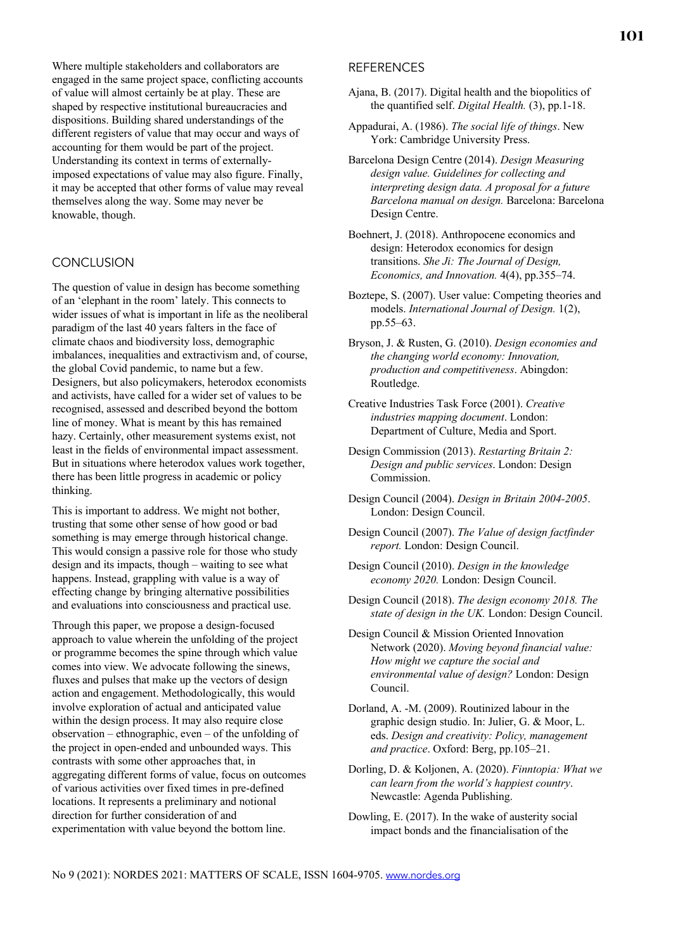Where multiple stakeholders and collaborators are engaged in the same project space, conflicting accounts of value will almost certainly be at play. These are shaped by respective institutional bureaucracies and dispositions. Building shared understandings of the different registers of value that may occur and ways of accounting for them would be part of the project. Understanding its context in terms of externallyimposed expectations of value may also figure. Finally, it may be accepted that other forms of value may reveal themselves along the way. Some may never be knowable, though.

#### **CONCLUSION**

The question of value in design has become something of an 'elephant in the room' lately. This connects to wider issues of what is important in life as the neoliberal paradigm of the last 40 years falters in the face of climate chaos and biodiversity loss, demographic imbalances, inequalities and extractivism and, of course, the global Covid pandemic, to name but a few. Designers, but also policymakers, heterodox economists and activists, have called for a wider set of values to be recognised, assessed and described beyond the bottom line of money. What is meant by this has remained hazy. Certainly, other measurement systems exist, not least in the fields of environmental impact assessment. But in situations where heterodox values work together, there has been little progress in academic or policy thinking.

This is important to address. We might not bother, trusting that some other sense of how good or bad something is may emerge through historical change. This would consign a passive role for those who study design and its impacts, though – waiting to see what happens. Instead, grappling with value is a way of effecting change by bringing alternative possibilities and evaluations into consciousness and practical use.

Through this paper, we propose a design-focused approach to value wherein the unfolding of the project or programme becomes the spine through which value comes into view. We advocate following the sinews, fluxes and pulses that make up the vectors of design action and engagement. Methodologically, this would involve exploration of actual and anticipated value within the design process. It may also require close observation – ethnographic, even – of the unfolding of the project in open-ended and unbounded ways. This contrasts with some other approaches that, in aggregating different forms of value, focus on outcomes of various activities over fixed times in pre-defined locations. It represents a preliminary and notional direction for further consideration of and experimentation with value beyond the bottom line.

### **REFERENCES**

- Ajana, B. (2017). Digital health and the biopolitics of the quantified self. *Digital Health.* (3), pp.1-18.
- Appadurai, A. (1986). *The social life of things*. New York: Cambridge University Press.
- Barcelona Design Centre (2014). *Design Measuring design value. Guidelines for collecting and interpreting design data. A proposal for a future Barcelona manual on design.* Barcelona: Barcelona Design Centre.
- Boehnert, J. (2018). Anthropocene economics and design: Heterodox economics for design transitions. *She Ji: The Journal of Design, Economics, and Innovation.* 4(4), pp.355–74.
- Boztepe, S. (2007). User value: Competing theories and models. *International Journal of Design.* 1(2), pp.55–63.
- Bryson, J. & Rusten, G. (2010). *Design economies and the changing world economy: Innovation, production and competitiveness*. Abingdon: Routledge.
- Creative Industries Task Force (2001). *Creative industries mapping document*. London: Department of Culture, Media and Sport.
- Design Commission (2013). *Restarting Britain 2: Design and public services*. London: Design Commission.
- Design Council (2004). *Design in Britain 2004-2005*. London: Design Council.
- Design Council (2007). *The Value of design factfinder report.* London: Design Council.
- Design Council (2010). *Design in the knowledge economy 2020.* London: Design Council.
- Design Council (2018). *The design economy 2018. The state of design in the UK.* London: Design Council.
- Design Council & Mission Oriented Innovation Network (2020). *Moving beyond financial value: How might we capture the social and environmental value of design?* London: Design Council.
- Dorland, A. -M. (2009). Routinized labour in the graphic design studio. In: Julier, G. & Moor, L. eds. *Design and creativity: Policy, management and practice*. Oxford: Berg, pp.105–21.
- Dorling, D. & Koljonen, A. (2020). *Finntopia: What we can learn from the world's happiest country*. Newcastle: Agenda Publishing.
- Dowling, E. (2017). In the wake of austerity social impact bonds and the financialisation of the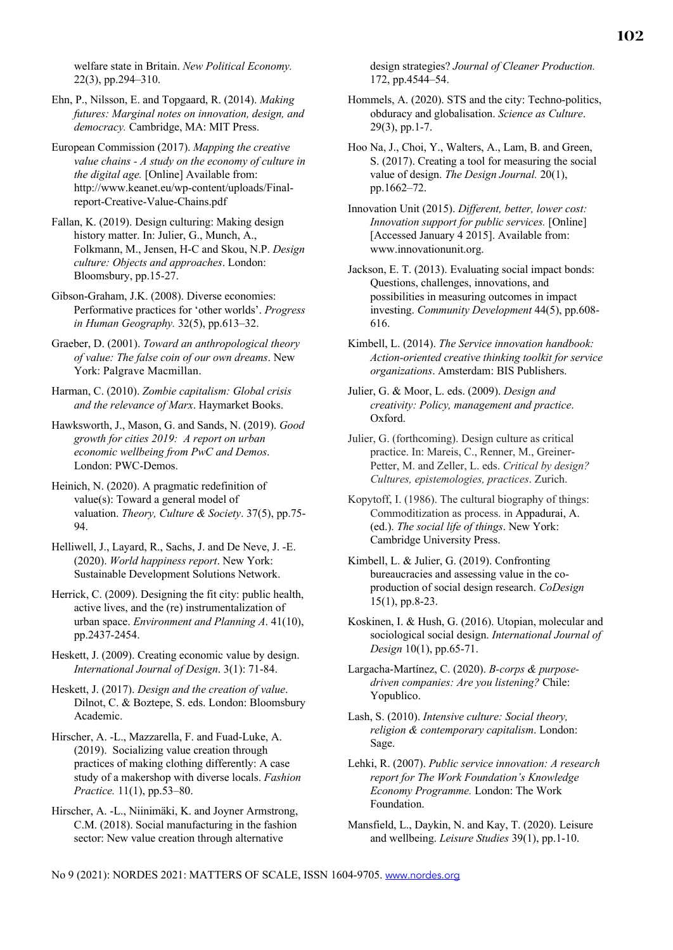welfare state in Britain. *New Political Economy.*  22(3), pp.294–310.

Ehn, P., Nilsson, E. and Topgaard, R. (2014). *Making futures: Marginal notes on innovation, design, and democracy.* Cambridge, MA: MIT Press.

European Commission (2017). *Mapping the creative value chains - A study on the economy of culture in the digital age.* [Online] Available from: http://www.keanet.eu/wp-content/uploads/Finalreport-Creative-Value-Chains.pdf

Fallan, K. (2019). Design culturing: Making design history matter. In: Julier, G., Munch, A., Folkmann, M., Jensen, H-C and Skou, N.P. *Design culture: Objects and approaches*. London: Bloomsbury, pp.15-27.

Gibson-Graham, J.K. (2008). Diverse economies: Performative practices for 'other worlds'. *Progress in Human Geography.* 32(5), pp.613–32.

Graeber, D. (2001). *Toward an anthropological theory of value: The false coin of our own dreams*. New York: Palgrave Macmillan.

Harman, C. (2010). *Zombie capitalism: Global crisis and the relevance of Marx*. Haymarket Books.

Hawksworth, J., Mason, G. and Sands, N. (2019). *Good growth for cities 2019: A report on urban economic wellbeing from PwC and Demos*. London: PWC-Demos.

Heinich, N. (2020). A pragmatic redefinition of value(s): Toward a general model of valuation. *Theory, Culture & Society*. 37(5), pp.75- 94.

Helliwell, J., Layard, R., Sachs, J. and De Neve, J. -E. (2020). *World happiness report*. New York: Sustainable Development Solutions Network.

Herrick, C. (2009). Designing the fit city: public health, active lives, and the (re) instrumentalization of urban space. *Environment and Planning A*. 41(10), pp.2437-2454.

Heskett, J. (2009). Creating economic value by design. *International Journal of Design*. 3(1): 71-84.

Heskett, J. (2017). *Design and the creation of value*. Dilnot, C. & Boztepe, S. eds. London: Bloomsbury Academic.

Hirscher, A. -L., Mazzarella, F. and Fuad-Luke, A. (2019). Socializing value creation through practices of making clothing differently: A case study of a makershop with diverse locals. *Fashion Practice.* 11(1), pp.53–80.

Hirscher, A. -L., Niinimäki, K. and Joyner Armstrong, C.M. (2018). Social manufacturing in the fashion sector: New value creation through alternative

design strategies? *Journal of Cleaner Production.* 172, pp.4544–54.

Hommels, A. (2020). STS and the city: Techno-politics, obduracy and globalisation. *Science as Culture*. 29(3), pp.1-7.

Hoo Na, J., Choi, Y., Walters, A., Lam, B. and Green, S. (2017). Creating a tool for measuring the social value of design. *The Design Journal.* 20(1), pp.1662–72.

Innovation Unit (2015). *Different, better, lower cost: Innovation support for public services.* [Online] [Accessed January 4 2015]. Available from: www.innovationunit.org.

Jackson, E. T. (2013). Evaluating social impact bonds: Questions, challenges, innovations, and possibilities in measuring outcomes in impact investing. *Community Development* 44(5), pp.608- 616.

Kimbell, L. (2014). *The Service innovation handbook: Action-oriented creative thinking toolkit for service organizations*. Amsterdam: BIS Publishers.

Julier, G. & Moor, L. eds. (2009). *Design and creativity: Policy, management and practice*. Oxford.

Julier, G. (forthcoming). Design culture as critical practice. In: Mareis, C., Renner, M., Greiner-Petter, M. and Zeller, L. eds. *Critical by design? Cultures, epistemologies, practices*. Zurich.

Kopytoff, I. (1986). The cultural biography of things: Commoditization as process. in Appadurai, A. (ed.). *The social life of things*. New York: Cambridge University Press.

Kimbell, L. & Julier, G. (2019). Confronting bureaucracies and assessing value in the coproduction of social design research. *CoDesign* 15(1), pp.8-23.

Koskinen, I. & Hush, G. (2016). Utopian, molecular and sociological social design. *International Journal of Design* 10(1), pp.65-71.

Largacha-Martínez, C. (2020). *B-corps & purposedriven companies: Are you listening?* Chile: Yopublico.

Lash, S. (2010). *Intensive culture: Social theory, religion & contemporary capitalism*. London: Sage.

Lehki, R. (2007). *Public service innovation: A research report for The Work Foundation's Knowledge Economy Programme.* London: The Work Foundation.

Mansfield, L., Daykin, N. and Kay, T. (2020). Leisure and wellbeing. *Leisure Studies* 39(1), pp.1-10.

No 9 (2021): NORDES 2021: MATTERS OF SCALE, ISSN 1604-9705. www.nordes.org